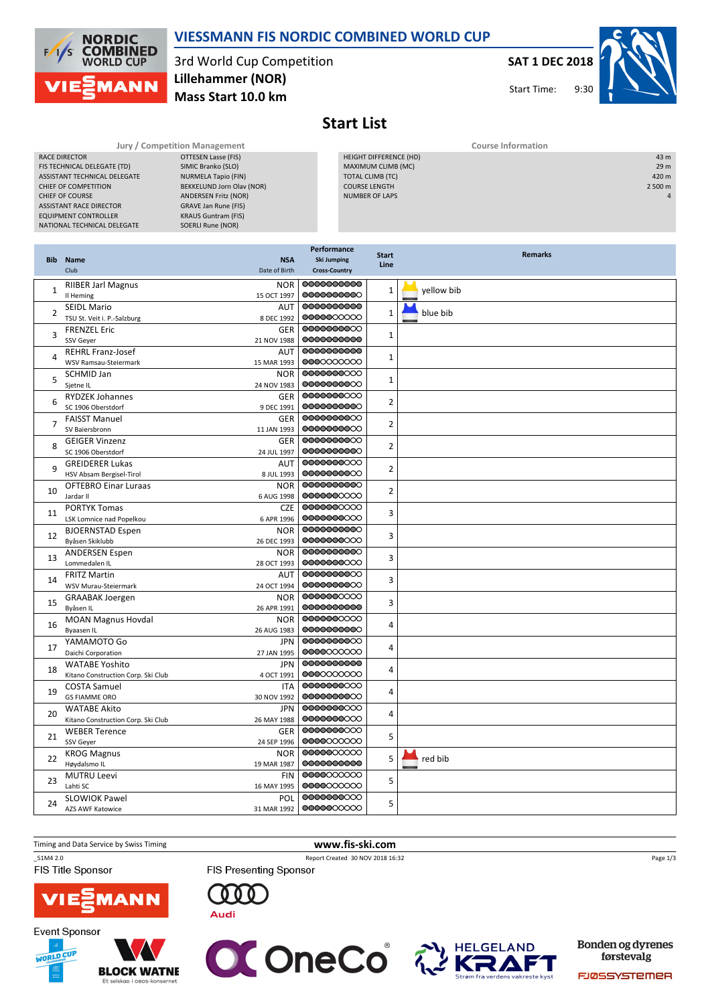

# VIESSMANN FIS NORDIC COMBINED WORLD CUP

## 3rd World Cup Competition Mass Start 10.0 km Lillehammer (NOR)

# SAT 1 DEC 2018

Start Time:



Start List

| Jury / Competition Management |                             |  | <b>Course Information</b> |                 |  |
|-------------------------------|-----------------------------|--|---------------------------|-----------------|--|
| RACE DIRECTOR                 | OTTESEN Lasse (FIS)         |  | HEIGHT DIFFERENCE (HD)    | 43 m            |  |
| FIS TECHNICAL DELEGATE (TD)   | SIMIC Branko (SLO)          |  | MAXIMUM CLIMB (MC)        | 29 <sub>m</sub> |  |
| ASSISTANT TECHNICAL DELEGATE  | NURMELA Tapio (FIN)         |  | TOTAL CLIMB (TC)          | 420 m           |  |
| CHIEF OF COMPETITION          | BEKKELUND Jorn Olav (NOR)   |  | <b>COURSE LENGTH</b>      | 2 500 m         |  |
| <b>CHIEF OF COURSE</b>        | <b>ANDERSEN Fritz (NOR)</b> |  | <b>NUMBER OF LAPS</b>     | $\overline{a}$  |  |
| ASSISTANT RACE DIRECTOR       | GRAVE Jan Rune (FIS)        |  |                           |                 |  |
| <b>EQUIPMENT CONTROLLER</b>   | <b>KRAUS Guntram (FIS)</b>  |  |                           |                 |  |
| NATIONAL TECHNICAL DELEGATE   | SOERLI Rune (NOR)           |  |                           |                 |  |

|                | <b>Bib</b> Name<br>Club                                          | <b>NSA</b><br>Date of Birth      | Performance<br><b>Ski Jumping</b><br><b>Cross-Country</b> | <b>Start</b><br>Line | <b>Remarks</b> |
|----------------|------------------------------------------------------------------|----------------------------------|-----------------------------------------------------------|----------------------|----------------|
| 1              | <b>RIIBER Jarl Magnus</b><br>Il Heming                           | <b>NOR</b><br>15 OCT 1997        | 00000000000<br>0000000000                                 | $\mathbf{1}$         | yellow bib     |
| $\overline{2}$ | <b>SEIDL Mario</b><br>TSU St. Veit i. P.-Salzburg                | <b>AUT</b><br>8 DEC 1992         | 0000000000<br>0000000000                                  | $\mathbf{1}$         | blue bib       |
| 3              | <b>FRENZEL Eric</b><br>SSV Geyer                                 | GER<br>21 NOV 1988               | 0000000000<br>0000000000                                  | $\mathbf{1}$         |                |
| 4              | <b>REHRL Franz-Josef</b><br>WSV Ramsau-Steiermark                | AUT<br>15 MAR 1993               | 0000000000<br>0000000000                                  | $\mathbf 1$          |                |
| 5              | SCHMID Jan<br>Sjetne IL                                          | <b>NOR</b><br>24 NOV 1983        | 0000000000<br>0000000000                                  | 1                    |                |
| 6              | <b>RYDZEK Johannes</b><br>SC 1906 Oberstdorf                     | <b>GER</b><br>9 DEC 1991         | 0000000000<br>0000000000                                  | $\overline{2}$       |                |
|                | <b>FAISST Manuel</b><br>SV Baiersbronn                           | <b>GER</b><br>11 JAN 1993        | 0000000000<br>0000000000                                  | $\overline{2}$       |                |
| 8              | <b>GEIGER Vinzenz</b><br>SC 1906 Oberstdorf                      | GER<br>24 JUL 1997               | 0000000000<br>0000000000                                  | $\overline{2}$       |                |
| $\mathsf q$    | <b>GREIDERER Lukas</b><br>HSV Absam Bergisel-Tirol               | AUT<br>8 JUL 1993                | 0000000000<br>0000000000                                  | $\overline{2}$       |                |
| 10             | <b>OFTEBRO Einar Luraas</b><br>Jardar II                         | <b>NOR</b><br>6 AUG 1998         | 0000000000<br>0000000000                                  | 2                    |                |
| 11             | <b>PORTYK Tomas</b><br>LSK Lomnice nad Popelkou                  | <b>CZE</b><br>6 APR 1996         | 0000000000<br>0000000000                                  | 3                    |                |
| 12             | <b>BJOERNSTAD Espen</b><br>Byåsen Skiklubb                       | <b>NOR</b><br>26 DEC 1993        | 0000000000<br>0000000000<br>0000000000                    | 3                    |                |
| 13             | <b>ANDERSEN Espen</b><br>Lommedalen IL                           | <b>NOR</b><br>28 OCT 1993        | 0000000000<br>0000000000                                  | 3                    |                |
| 14             | <b>FRITZ Martin</b><br>WSV Murau-Steiermark                      | AUT<br>24 OCT 1994<br><b>NOR</b> | 0000000000<br>0000000000                                  | 3                    |                |
| 15             | <b>GRAABAK Joergen</b><br>Byåsen IL<br><b>MOAN Magnus Hovdal</b> | 26 APR 1991<br><b>NOR</b>        | 0000000000<br>0000000000                                  | 3                    |                |
| 16             | <b>Byaasen IL</b><br>YAMAMOTO Go                                 | 26 AUG 1983<br><b>JPN</b>        | 0000000000<br>0000000000                                  | 4                    |                |
| 17             | Daichi Corporation<br><b>WATABE Yoshito</b>                      | 27 JAN 1995<br><b>JPN</b>        | 0000000000<br>0000000000                                  | 4                    |                |
| 18             | Kitano Construction Corp. Ski Club<br><b>COSTA Samuel</b>        | 4 OCT 1991<br><b>ITA</b>         | 0000000000<br>0000000000                                  | 4                    |                |
| 19             | <b>GS FIAMME ORO</b><br><b>WATABE Akito</b>                      | 30 NOV 1992<br><b>JPN</b>        | 0000000000<br>0000000000                                  | 4                    |                |
| 20             | Kitano Construction Corp. Ski Club<br><b>WEBER Terence</b>       | 26 MAY 1988<br>GER               | 0000000000<br>0000000000                                  | 4                    |                |
| 21             | SSV Geyer<br><b>KROG Magnus</b>                                  | 24 SEP 1996<br><b>NOR</b>        | 0000000000<br>0000000000                                  | 5                    |                |
| 22             | Høydalsmo IL<br><b>MUTRU Leevi</b>                               | 19 MAR 1987<br><b>FIN</b>        | 0000000000<br>0000000000                                  | 5                    | red bib        |
| 23             | Lahti SC<br><b>SLOWIOK Pawel</b>                                 | 16 MAY 1995<br>POL               | 0000000000<br>0000000000                                  | 5                    |                |
| 24             | <b>AZS AWF Katowice</b>                                          | 31 MAR 1992                      | 00000000000                                               | 5                    |                |

### Timing and Data Service by Swiss Timing www.fis-ski.com

\_51M4 2.0 Report Created 30 NOV 2018 16:32

FIS Title Sponsor

**Event Sponsor** 

WORLD CUP



**BLOCK WATNE** 

Et selskap i obos-l

FIS Presenting Sponsor







Bonden og dyrenes førstevalg

Page 1/3

FJØSSYSTEMER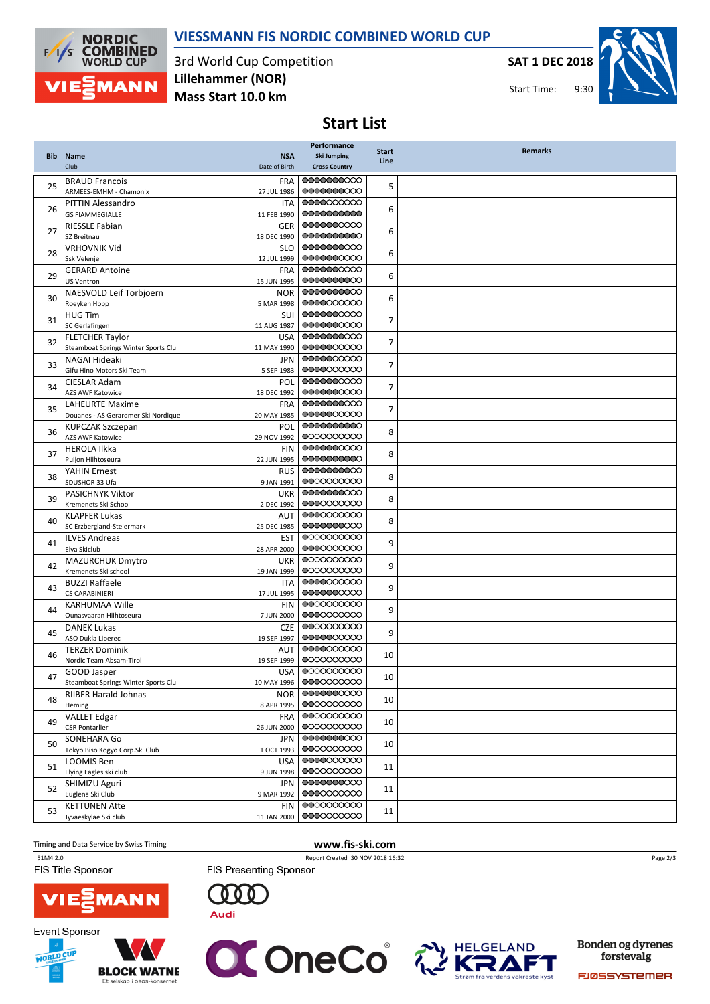

VIESSMANN FIS NORDIC COMBINED WORLD CUP

3rd World Cup Competition Mass Start 10.0 km Lillehammer (NOR)

SAT 1 DEC 2018

Start Time:



# Start List

|            |                                                  |                          | Performance              |                      | <b>Remarks</b> |
|------------|--------------------------------------------------|--------------------------|--------------------------|----------------------|----------------|
| <b>Bib</b> | <b>Name</b>                                      | <b>NSA</b>               | <b>Ski Jumping</b>       | <b>Start</b><br>Line |                |
|            | Club                                             | Date of Birth            | <b>Cross-Country</b>     |                      |                |
|            | <b>BRAUD Francois</b>                            | <b>FRA</b>               | 0000000000               |                      |                |
| 25         | ARMEES-EMHM - Chamonix                           | 27 JUL 1986              | 0000000000               | 5                    |                |
|            | <b>PITTIN Alessandro</b>                         | <b>ITA</b>               | 0000000000               | 6                    |                |
| 26         | <b>GS FIAMMEGIALLE</b>                           | 11 FEB 1990              | 0000000000               |                      |                |
| 27         | <b>RIESSLE Fabian</b>                            | <b>GER</b>               | 0000000000               | 6                    |                |
|            | SZ Breitnau                                      | 18 DEC 1990              | 0000000000               |                      |                |
| 28         | <b>VRHOVNIK Vid</b>                              | <b>SLO</b>               | 0000000000               | 6                    |                |
|            | Ssk Velenje                                      | 12 JUL 1999              | 0000000000               |                      |                |
| 29         | <b>GERARD Antoine</b>                            | <b>FRA</b>               | 0000000000               | 6                    |                |
|            | <b>US Ventron</b>                                | 15 JUN 1995              | 0000000000<br>0000000000 |                      |                |
| 30         | NAESVOLD Leif Torbjoern                          | <b>NOR</b>               | 0000000000               | 6                    |                |
|            | Roeyken Hopp<br><b>HUG Tim</b>                   | 5 MAR 1998<br>SUI        | 0000000000               |                      |                |
| 31         | SC Gerlafingen                                   | 11 AUG 1987              | 0000000000               | 7                    |                |
|            | <b>FLETCHER Taylor</b>                           | <b>USA</b>               | 0000000000               |                      |                |
| 32         | Steamboat Springs Winter Sports Clu              | 11 MAY 1990              | 0000000000               | 7                    |                |
|            | NAGAI Hideaki                                    | <b>JPN</b>               | 0000000000               |                      |                |
| 33         | Gifu Hino Motors Ski Team                        | 5 SEP 1983               | 0000000000               | 7                    |                |
|            | CIESLAR Adam                                     | POL                      | 0000000000               |                      |                |
| 34         | <b>AZS AWF Katowice</b>                          | 18 DEC 1992              | 0000000000               | 7                    |                |
| 35         | <b>LAHEURTE Maxime</b>                           | <b>FRA</b>               | 0000000000               | 7                    |                |
|            | Douanes - AS Gerardmer Ski Nordique              | 20 MAY 1985              | 0000000000               |                      |                |
| 36         | <b>KUPCZAK Szczepan</b>                          | POL                      | 0000000000               | 8                    |                |
|            | <b>AZS AWF Katowice</b>                          | 29 NOV 1992              | 0000000000               |                      |                |
| 37         | <b>HEROLA Ilkka</b>                              | <b>FIN</b>               | 0000000000               | 8                    |                |
|            | Puijon Hiihtoseura                               | 22 JUN 1995              | 0000000000               |                      |                |
| 38         | <b>YAHIN Ernest</b>                              | <b>RUS</b>               | 0000000000<br>0000000000 | 8                    |                |
|            | SDUSHOR 33 Ufa<br>PASICHNYK Viktor               | 9 JAN 1991<br><b>UKR</b> | 0000000000               |                      |                |
| 39         | Kremenets Ski School                             | 2 DEC 1992               | 0000000000               | 8                    |                |
|            | <b>KLAPFER Lukas</b>                             | AUT                      | 0000000000               |                      |                |
| 40         | SC Erzbergland-Steiermark                        | 25 DEC 1985              | 0000000000               | 8                    |                |
|            | <b>ILVES Andreas</b>                             | <b>EST</b>               | 0000000000               |                      |                |
| 41         | Elva Skiclub                                     | 28 APR 2000              | 0000000000               | 9                    |                |
|            | <b>MAZURCHUK Dmytro</b>                          | <b>UKR</b>               | 0000000000               |                      |                |
| 42         | Kremenets Ski school                             | 19 JAN 1999              | 0000000000               | 9                    |                |
| 43         | <b>BUZZI Raffaele</b>                            | <b>ITA</b>               | 0000000000               | 9                    |                |
|            | <b>CS CARABINIERI</b>                            | 17 JUL 1995              | 0000000000               |                      |                |
| 44         | <b>KARHUMAA Wille</b>                            | <b>FIN</b>               | 0000000000               | 9                    |                |
|            | Ounasvaaran Hiihtoseura                          | 7 JUN 2000               | 0000000000               |                      |                |
| 45         | <b>DANEK Lukas</b>                               | <b>CZE</b>               | 0000000000               | 9                    |                |
|            | ASO Dukla Liberec                                | 19 SEP 1997              | 0000000000<br>0000000000 |                      |                |
| 46         | <b>TERZER Dominik</b><br>Nordic Team Absam-Tirol | AUT<br>19 SEP 1999       | 0000000000               | 10                   |                |
|            | GOOD Jasper                                      | <b>USA</b>               | 0000000000               |                      |                |
| 47         | Steamboat Springs Winter Sports Clu              | 10 MAY 1996              | 0000000000               | $10\,$               |                |
|            | <b>RIIBER Harald Johnas</b>                      | <b>NOR</b>               | 0000000000               |                      |                |
| 48         | Heming                                           | 8 APR 1995               | 0000000000               | 10                   |                |
|            | <b>VALLET Edgar</b>                              | <b>FRA</b>               | 0000000000               |                      |                |
| 49         | <b>CSR Pontarlier</b>                            | 26 JUN 2000              | 0000000000               | 10                   |                |
| 50         | SONEHARA Go                                      | JPN                      | 0000000000               | 10                   |                |
|            | Tokyo Biso Kogyo Corp.Ski Club                   | 1 OCT 1993               | 0000000000               |                      |                |
| 51         | LOOMIS Ben                                       | USA                      | 0000000000               | 11                   |                |
|            | Flying Eagles ski club                           | 9 JUN 1998               | 0000000000               |                      |                |
| 52         | SHIMIZU Aguri                                    | JPN                      | 0000000000               | 11                   |                |
|            | Euglena Ski Club                                 | 9 MAR 1992               | 0000000000               |                      |                |
| 53         | <b>KETTUNEN Atte</b>                             | <b>FIN</b>               | 0000000000<br>0000000000 | 11                   |                |
|            | Jyvaeskylae Ski club                             | 11 JAN 2000              |                          |                      |                |

Timing and Data Service by Swiss Timing **www.fis-ski.com** 

FIS Title Sponsor

Event Sponsor

WORLD CUP

\_51M4 2.0 Report Created 30 NOV 2018 16:32 FIS Presenting Sponsor

Page 2/3

**VIE MANN** 







Bonden og dyrenes førstevalg

FJØSSYSTEMER